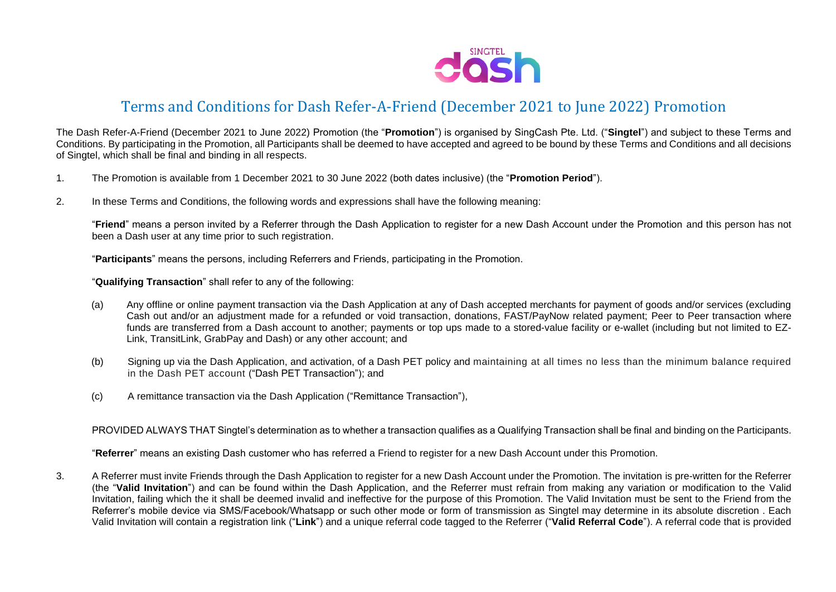

## Terms and Conditions for Dash Refer-A-Friend (December 2021 to June 2022) Promotion

The Dash Refer-A-Friend (December 2021 to June 2022) Promotion (the "**Promotion**") is organised by SingCash Pte. Ltd. ("**Singtel**") and subject to these Terms and Conditions. By participating in the Promotion, all Participants shall be deemed to have accepted and agreed to be bound by these Terms and Conditions and all decisions of Singtel, which shall be final and binding in all respects.

- 1. The Promotion is available from 1 December 2021 to 30 June 2022 (both dates inclusive) (the "**Promotion Period**").
- 2. In these Terms and Conditions, the following words and expressions shall have the following meaning:

"**Friend**" means a person invited by a Referrer through the Dash Application to register for a new Dash Account under the Promotion and this person has not been a Dash user at any time prior to such registration.

"**Participants**" means the persons, including Referrers and Friends, participating in the Promotion.

"**Qualifying Transaction**" shall refer to any of the following:

- (a) Any offline or online payment transaction via the Dash Application at any of Dash accepted merchants for payment of goods and/or services (excluding Cash out and/or an adjustment made for a refunded or void transaction, donations, FAST/PayNow related payment; Peer to Peer transaction where funds are transferred from a Dash account to another; payments or top ups made to a stored-value facility or e-wallet (including but not limited to EZ-Link, TransitLink, GrabPay and Dash) or any other account; and
- (b) Signing up via the Dash Application, and activation, of a Dash PET policy and maintaining at all times no less than the minimum balance required in the Dash PET account ("Dash PET Transaction"); and
- (c) A remittance transaction via the Dash Application ("Remittance Transaction"),

PROVIDED ALWAYS THAT Singtel's determination as to whether a transaction qualifies as a Qualifying Transaction shall be final and binding on the Participants.

"**Referrer**" means an existing Dash customer who has referred a Friend to register for a new Dash Account under this Promotion.

3. A Referrer must invite Friends through the Dash Application to register for a new Dash Account under the Promotion. The invitation is pre-written for the Referrer (the "**Valid Invitation**") and can be found within the Dash Application, and the Referrer must refrain from making any variation or modification to the Valid Invitation, failing which the it shall be deemed invalid and ineffective for the purpose of this Promotion. The Valid Invitation must be sent to the Friend from the Referrer's mobile device via SMS/Facebook/Whatsapp or such other mode or form of transmission as Singtel may determine in its absolute discretion . Each Valid Invitation will contain a registration link ("**Link**") and a unique referral code tagged to the Referrer ("**Valid Referral Code**"). A referral code that is provided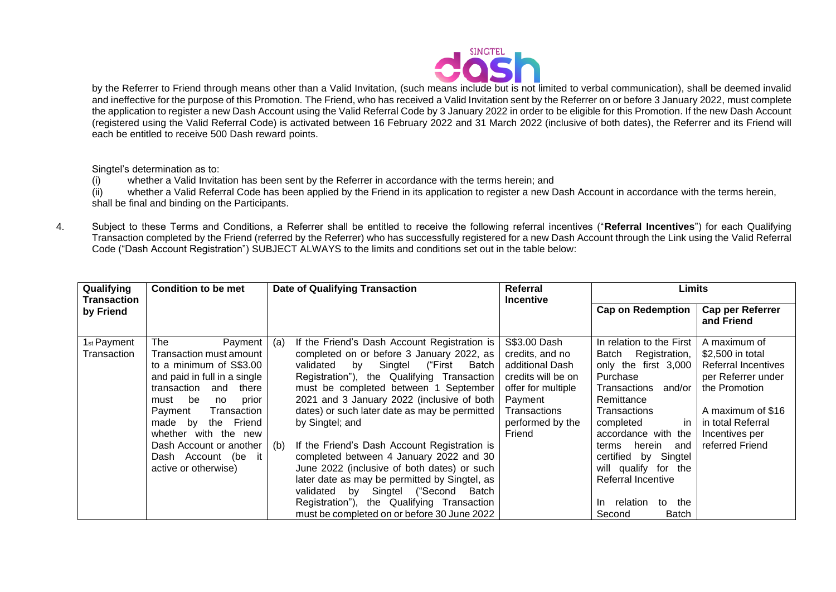

by the Referrer to Friend through means other than a Valid Invitation, (such means include but is not limited to verbal communication), shall be deemed invalid and ineffective for the purpose of this Promotion. The Friend, who has received a Valid Invitation sent by the Referrer on or before 3 January 2022, must complete the application to register a new Dash Account using the Valid Referral Code by 3 January 2022 in order to be eligible for this Promotion. If the new Dash Account (registered using the Valid Referral Code) is activated between 16 February 2022 and 31 March 2022 (inclusive of both dates), the Referrer and its Friend will each be entitled to receive 500 Dash reward points.

Singtel's determination as to:

(i) whether a Valid Invitation has been sent by the Referrer in accordance with the terms herein; and

(ii) whether a Valid Referral Code has been applied by the Friend in its application to register a new Dash Account in accordance with the terms herein, shall be final and binding on the Participants.

4. Subject to these Terms and Conditions, a Referrer shall be entitled to receive the following referral incentives ("**Referral Incentives**") for each Qualifying Transaction completed by the Friend (referred by the Referrer) who has successfully registered for a new Dash Account through the Link using the Valid Referral Code ("Dash Account Registration") SUBJECT ALWAYS to the limits and conditions set out in the table below:

| Qualifying                             | <b>Condition to be met</b>                      | <b>Date of Qualifying Transaction</b>                                                            | Referral                         | Limits                                          |                                  |
|----------------------------------------|-------------------------------------------------|--------------------------------------------------------------------------------------------------|----------------------------------|-------------------------------------------------|----------------------------------|
| Transaction<br>by Friend               |                                                 |                                                                                                  | <b>Incentive</b>                 | <b>Cap on Redemption</b>                        | Cap per Referrer<br>and Friend   |
| 1 <sub>st</sub> Payment<br>Transaction | Payment<br>The<br>Transaction must amount       | If the Friend's Dash Account Registration is<br>(a)<br>completed on or before 3 January 2022, as | S\$3.00 Dash<br>credits, and no  | In relation to the First<br>Batch Registration, | A maximum of<br>\$2,500 in total |
|                                        | to a minimum of S\$3.00                         | validated<br>by Singtel<br>("First<br>Batch                                                      | additional Dash                  | only the first 3,000                            | <b>Referral Incentives</b>       |
|                                        | and paid in full in a single                    | Registration"), the Qualifying Transaction                                                       | credits will be on               | Purchase                                        | per Referrer under               |
|                                        | transaction<br>there<br>and                     | must be completed between 1 September                                                            | offer for multiple               | and/or<br>Transactions                          | the Promotion                    |
|                                        | must be<br>prior<br>no                          | 2021 and 3 January 2022 (inclusive of both  <br>dates) or such later date as may be permitted    | Payment                          | Remittance<br>Transactions                      | A maximum of \$16                |
|                                        | Payment<br>Transaction<br>made by<br>the Friend | by Singtel; and                                                                                  | Transactions<br>performed by the | in<br>completed                                 | in total Referral                |
|                                        | whether with the new                            |                                                                                                  | Friend                           | accordance with the                             | Incentives per                   |
|                                        | Dash Account or another                         | If the Friend's Dash Account Registration is<br>(b)                                              |                                  | herein and<br>terms                             | referred Friend                  |
|                                        | Dash Account (be it                             | completed between 4 January 2022 and 30                                                          |                                  | certified by Singtel                            |                                  |
|                                        | active or otherwise)                            | June 2022 (inclusive of both dates) or such                                                      |                                  | will qualify for the                            |                                  |
|                                        |                                                 | later date as may be permitted by Singtel, as                                                    |                                  | Referral Incentive                              |                                  |
|                                        |                                                 | validated by Singtel ("Second Batch                                                              |                                  |                                                 |                                  |
|                                        |                                                 | Registration"), the Qualifying Transaction                                                       |                                  | relation<br>to the<br>In.                       |                                  |
|                                        |                                                 | must be completed on or before 30 June 2022                                                      |                                  | Second<br><b>Batch</b>                          |                                  |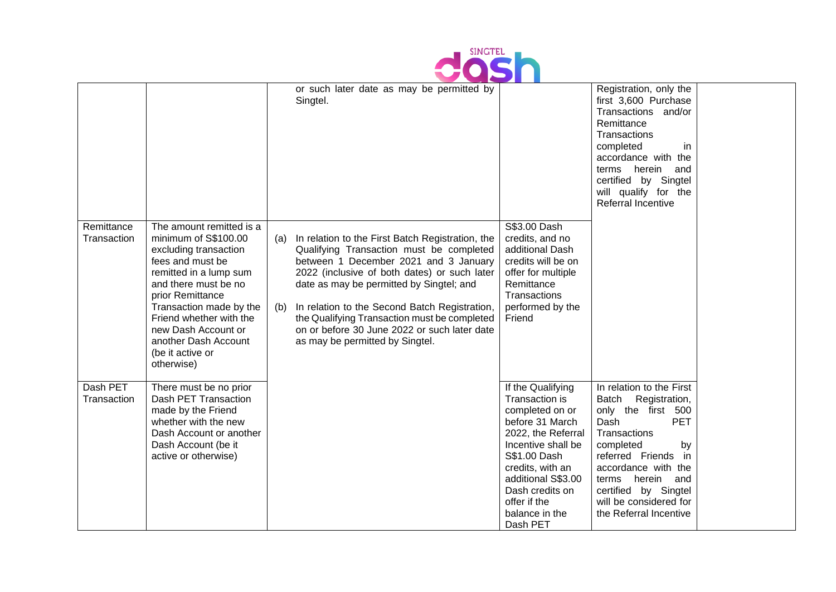

|                           |                                                                                                                                                                                                                                                                                                            |            | or such later date as may be permitted by<br>Singtel.                                                                                                                                                                                                                                                                                                                                                                 |                                                                                                                                                                                                                                                  | Registration, only the<br>first 3,600 Purchase<br>Transactions and/or<br>Remittance<br>Transactions<br>completed<br>in.<br>accordance with the<br>terms herein<br>and<br>certified by Singtel<br>will qualify for the<br>Referral Incentive                                              |  |
|---------------------------|------------------------------------------------------------------------------------------------------------------------------------------------------------------------------------------------------------------------------------------------------------------------------------------------------------|------------|-----------------------------------------------------------------------------------------------------------------------------------------------------------------------------------------------------------------------------------------------------------------------------------------------------------------------------------------------------------------------------------------------------------------------|--------------------------------------------------------------------------------------------------------------------------------------------------------------------------------------------------------------------------------------------------|------------------------------------------------------------------------------------------------------------------------------------------------------------------------------------------------------------------------------------------------------------------------------------------|--|
| Remittance<br>Transaction | The amount remitted is a<br>minimum of S\$100.00<br>excluding transaction<br>fees and must be<br>remitted in a lump sum<br>and there must be no<br>prior Remittance<br>Transaction made by the<br>Friend whether with the<br>new Dash Account or<br>another Dash Account<br>(be it active or<br>otherwise) | (a)<br>(b) | In relation to the First Batch Registration, the<br>Qualifying Transaction must be completed<br>between 1 December 2021 and 3 January<br>2022 (inclusive of both dates) or such later<br>date as may be permitted by Singtel; and<br>In relation to the Second Batch Registration,<br>the Qualifying Transaction must be completed<br>on or before 30 June 2022 or such later date<br>as may be permitted by Singtel. | S\$3.00 Dash<br>credits, and no<br>additional Dash<br>credits will be on<br>offer for multiple<br>Remittance<br>Transactions<br>performed by the<br>Friend                                                                                       |                                                                                                                                                                                                                                                                                          |  |
| Dash PET<br>Transaction   | There must be no prior<br>Dash PET Transaction<br>made by the Friend<br>whether with the new<br>Dash Account or another<br>Dash Account (be it<br>active or otherwise)                                                                                                                                     |            |                                                                                                                                                                                                                                                                                                                                                                                                                       | If the Qualifying<br>Transaction is<br>completed on or<br>before 31 March<br>2022, the Referral<br>Incentive shall be<br>S\$1.00 Dash<br>credits, with an<br>additional S\$3.00<br>Dash credits on<br>offer if the<br>balance in the<br>Dash PET | In relation to the First<br>Batch<br>Registration,<br>only the first 500<br>Dash<br><b>PET</b><br>Transactions<br>completed<br>by<br>referred Friends<br>in<br>accordance with the<br>herein<br>and<br>terms<br>certified by Singtel<br>will be considered for<br>the Referral Incentive |  |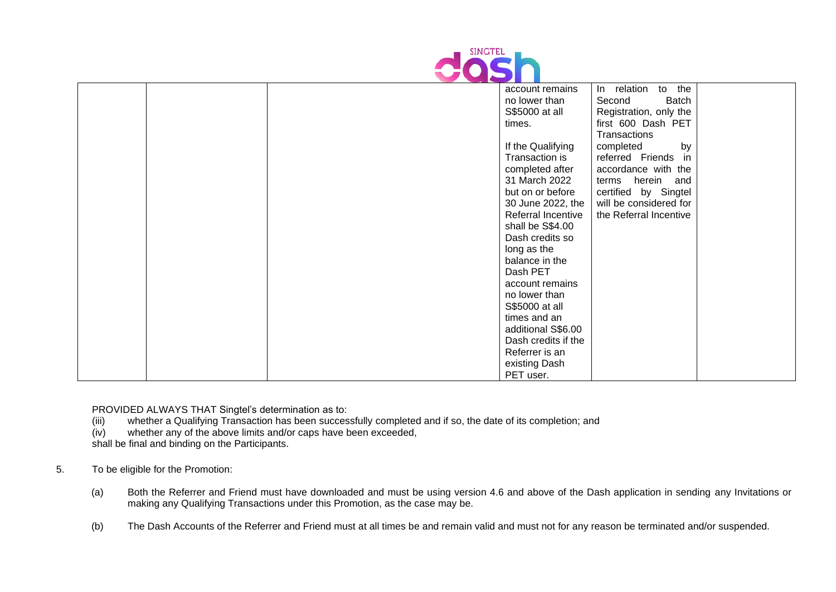

|  | account remains     | In relation<br>to the  |  |
|--|---------------------|------------------------|--|
|  | no lower than       | Second<br>Batch        |  |
|  | S\$5000 at all      | Registration, only the |  |
|  | times.              | first 600 Dash PET     |  |
|  |                     | Transactions           |  |
|  | If the Qualifying   | completed<br>by        |  |
|  | Transaction is      | referred Friends<br>in |  |
|  | completed after     | accordance with the    |  |
|  | 31 March 2022       | terms herein and       |  |
|  | but on or before    | certified by Singtel   |  |
|  | 30 June 2022, the   | will be considered for |  |
|  | Referral Incentive  | the Referral Incentive |  |
|  | shall be S\$4.00    |                        |  |
|  | Dash credits so     |                        |  |
|  | long as the         |                        |  |
|  | balance in the      |                        |  |
|  | Dash PET            |                        |  |
|  | account remains     |                        |  |
|  | no lower than       |                        |  |
|  | S\$5000 at all      |                        |  |
|  | times and an        |                        |  |
|  | additional S\$6.00  |                        |  |
|  | Dash credits if the |                        |  |
|  | Referrer is an      |                        |  |
|  | existing Dash       |                        |  |
|  | PET user.           |                        |  |

PROVIDED ALWAYS THAT Singtel's determination as to:

- (iii) whether a Qualifying Transaction has been successfully completed and if so, the date of its completion; and (iv) whether any of the above limits and/or caps have been exceeded,
- whether any of the above limits and/or caps have been exceeded,

shall be final and binding on the Participants.

## 5. To be eligible for the Promotion:

- (a) Both the Referrer and Friend must have downloaded and must be using version 4.6 and above of the Dash application in sending any Invitations or making any Qualifying Transactions under this Promotion, as the case may be.
- (b) The Dash Accounts of the Referrer and Friend must at all times be and remain valid and must not for any reason be terminated and/or suspended.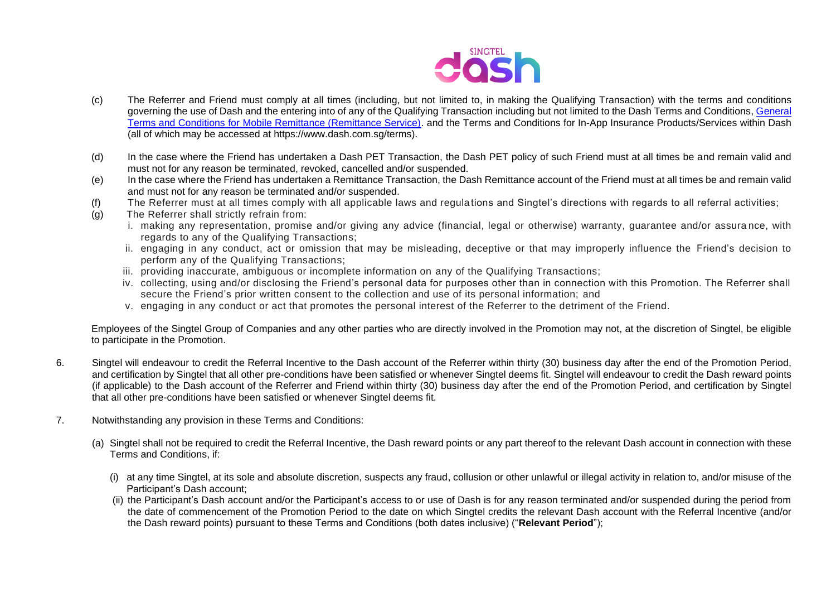

- (c) The Referrer and Friend must comply at all times (including, but not limited to, in making the Qualifying Transaction) with the terms and conditions governing the use of Dash and the entering into of any of the Qualifying Transaction including but not limited to the Dash Terms and Conditions, [General](https://dash.com.sg/files/terms/190604_Remittance_Service_TC_1.pdf)  [Terms and Conditions for Mobile Remittance \(Remittance Service\).](https://dash.com.sg/files/terms/190604_Remittance_Service_TC_1.pdf) and the Terms and Conditions for In-App Insurance Products/Services within Dash (all of which may be accessed at https://www.dash.com.sg/terms).
- (d) In the case where the Friend has undertaken a Dash PET Transaction, the Dash PET policy of such Friend must at all times be and remain valid and must not for any reason be terminated, revoked, cancelled and/or suspended.
- (e) In the case where the Friend has undertaken a Remittance Transaction, the Dash Remittance account of the Friend must at all times be and remain valid and must not for any reason be terminated and/or suspended.
- (f) The Referrer must at all times comply with all applicable laws and regulations and Singtel's directions with regards to all referral activities;
- (g) The Referrer shall strictly refrain from:
	- i. making any representation, promise and/or giving any advice (financial, legal or otherwise) warranty, guarantee and/or assura nce, with regards to any of the Qualifying Transactions;
	- ii. engaging in any conduct, act or omission that may be misleading, deceptive or that may improperly influence the Friend's decision to perform any of the Qualifying Transactions;
	- iii. providing inaccurate, ambiguous or incomplete information on any of the Qualifying Transactions;
	- iv. collecting, using and/or disclosing the Friend's personal data for purposes other than in connection with this Promotion. The Referrer shall secure the Friend's prior written consent to the collection and use of its personal information; and
	- v. engaging in any conduct or act that promotes the personal interest of the Referrer to the detriment of the Friend.

Employees of the Singtel Group of Companies and any other parties who are directly involved in the Promotion may not, at the discretion of Singtel, be eligible to participate in the Promotion.

- 6. Singtel will endeavour to credit the Referral Incentive to the Dash account of the Referrer within thirty (30) business day after the end of the Promotion Period, and certification by Singtel that all other pre-conditions have been satisfied or whenever Singtel deems fit. Singtel will endeavour to credit the Dash reward points (if applicable) to the Dash account of the Referrer and Friend within thirty (30) business day after the end of the Promotion Period, and certification by Singtel that all other pre-conditions have been satisfied or whenever Singtel deems fit.
- 7. Notwithstanding any provision in these Terms and Conditions:
	- (a) Singtel shall not be required to credit the Referral Incentive, the Dash reward points or any part thereof to the relevant Dash account in connection with these Terms and Conditions, if:
		- (i) at any time Singtel, at its sole and absolute discretion, suspects any fraud, collusion or other unlawful or illegal activity in relation to, and/or misuse of the Participant's Dash account;
		- (ii) the Participant's Dash account and/or the Participant's access to or use of Dash is for any reason terminated and/or suspended during the period from the date of commencement of the Promotion Period to the date on which Singtel credits the relevant Dash account with the Referral Incentive (and/or the Dash reward points) pursuant to these Terms and Conditions (both dates inclusive) ("**Relevant Period**");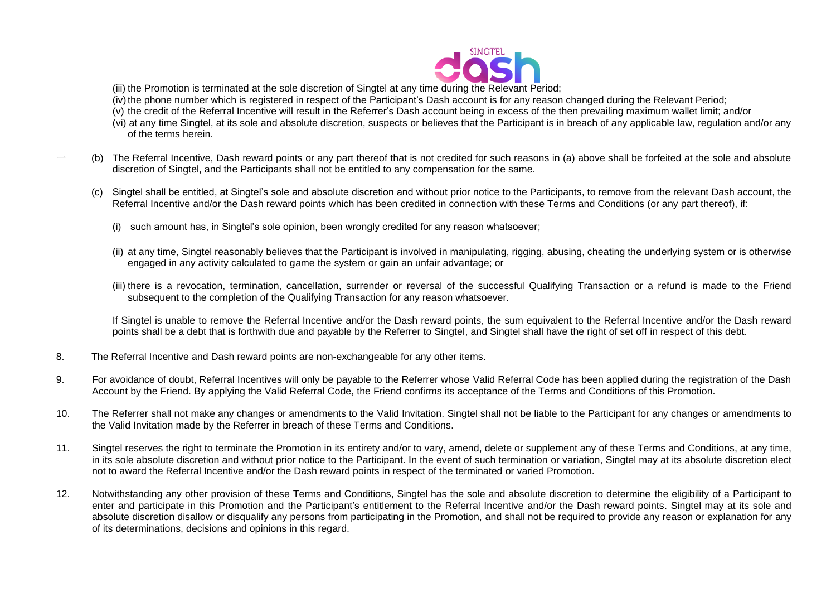

(iii) the Promotion is terminated at the sole discretion of Singtel at any time during the Relevant Period;

(iv) the phone number which is registered in respect of the Participant's Dash account is for any reason changed during the Relevant Period;

- (v) the credit of the Referral Incentive will result in the Referrer's Dash account being in excess of the then prevailing maximum wallet limit; and/or
- (vi) at any time Singtel, at its sole and absolute discretion, suspects or believes that the Participant is in breach of any applicable law, regulation and/or any of the terms herein.
- 一 (b) The Referral Incentive, Dash reward points or any part thereof that is not credited for such reasons in (a) above shall be forfeited at the sole and absolute discretion of Singtel, and the Participants shall not be entitled to any compensation for the same.
	- (c) Singtel shall be entitled, at Singtel's sole and absolute discretion and without prior notice to the Participants, to remove from the relevant Dash account, the Referral Incentive and/or the Dash reward points which has been credited in connection with these Terms and Conditions (or any part thereof), if:
		- (i) such amount has, in Singtel's sole opinion, been wrongly credited for any reason whatsoever;
		- (ii) at any time, Singtel reasonably believes that the Participant is involved in manipulating, rigging, abusing, cheating the underlying system or is otherwise engaged in any activity calculated to game the system or gain an unfair advantage; or
		- (iii) there is a revocation, termination, cancellation, surrender or reversal of the successful Qualifying Transaction or a refund is made to the Friend subsequent to the completion of the Qualifying Transaction for any reason whatsoever.

If Singtel is unable to remove the Referral Incentive and/or the Dash reward points, the sum equivalent to the Referral Incentive and/or the Dash reward points shall be a debt that is forthwith due and payable by the Referrer to Singtel, and Singtel shall have the right of set off in respect of this debt.

- 8. The Referral Incentive and Dash reward points are non-exchangeable for any other items.
- 9. For avoidance of doubt, Referral Incentives will only be payable to the Referrer whose Valid Referral Code has been applied during the registration of the Dash Account by the Friend. By applying the Valid Referral Code, the Friend confirms its acceptance of the Terms and Conditions of this Promotion.
- 10. The Referrer shall not make any changes or amendments to the Valid Invitation. Singtel shall not be liable to the Participant for any changes or amendments to the Valid Invitation made by the Referrer in breach of these Terms and Conditions.
- 11. Singtel reserves the right to terminate the Promotion in its entirety and/or to vary, amend, delete or supplement any of these Terms and Conditions, at any time, in its sole absolute discretion and without prior notice to the Participant. In the event of such termination or variation, Singtel may at its absolute discretion elect not to award the Referral Incentive and/or the Dash reward points in respect of the terminated or varied Promotion.
- 12. Notwithstanding any other provision of these Terms and Conditions, Singtel has the sole and absolute discretion to determine the eligibility of a Participant to enter and participate in this Promotion and the Participant's entitlement to the Referral Incentive and/or the Dash reward points. Singtel may at its sole and absolute discretion disallow or disqualify any persons from participating in the Promotion, and shall not be required to provide any reason or explanation for any of its determinations, decisions and opinions in this regard.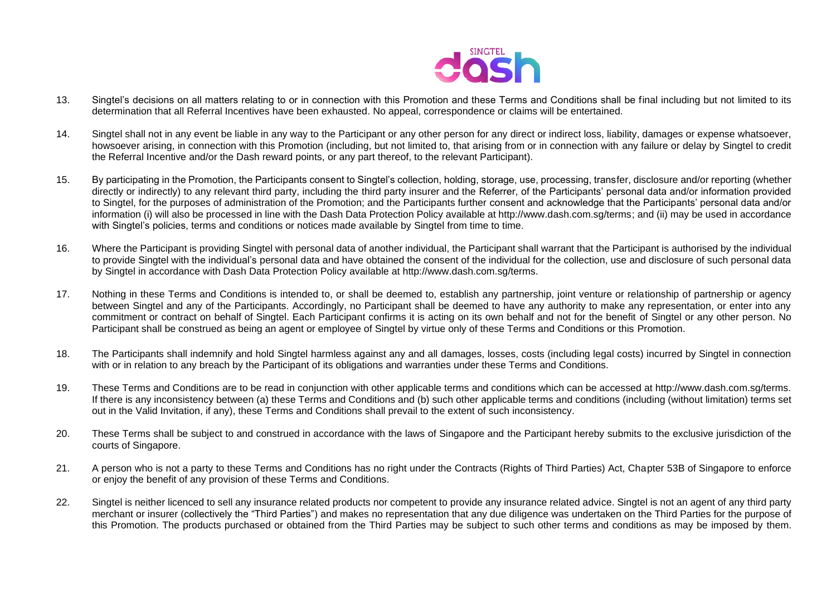

- 13. Singtel's decisions on all matters relating to or in connection with this Promotion and these Terms and Conditions shall be final including but not limited to its determination that all Referral Incentives have been exhausted. No appeal, correspondence or claims will be entertained.
- 14. Singtel shall not in any event be liable in any way to the Participant or any other person for any direct or indirect loss, liability, damages or expense whatsoever, howsoever arising, in connection with this Promotion (including, but not limited to, that arising from or in connection with any failure or delay by Singtel to credit the Referral Incentive and/or the Dash reward points, or any part thereof, to the relevant Participant).
- 15. By participating in the Promotion, the Participants consent to Singtel's collection, holding, storage, use, processing, transfer, disclosure and/or reporting (whether directly or indirectly) to any relevant third party, including the third party insurer and the Referrer, of the Participants' personal data and/or information provided to Singtel, for the purposes of administration of the Promotion; and the Participants further consent and acknowledge that the Participants' personal data and/or information (i) will also be processed in line with the Dash Data Protection Policy available at http://www.dash.com.sg/terms; and (ii) may be used in accordance with Singtel's policies, terms and conditions or notices made available by Singtel from time to time.
- 16. Where the Participant is providing Singtel with personal data of another individual, the Participant shall warrant that the Participant is authorised by the individual to provide Singtel with the individual's personal data and have obtained the consent of the individual for the collection, use and disclosure of such personal data by Singtel in accordance with Dash Data Protection Policy available at http://www.dash.com.sg/terms.
- 17. Nothing in these Terms and Conditions is intended to, or shall be deemed to, establish any partnership, joint venture or relationship of partnership or agency between Singtel and any of the Participants. Accordingly, no Participant shall be deemed to have any authority to make any representation, or enter into any commitment or contract on behalf of Singtel. Each Participant confirms it is acting on its own behalf and not for the benefit of Singtel or any other person. No Participant shall be construed as being an agent or employee of Singtel by virtue only of these Terms and Conditions or this Promotion.
- 18. The Participants shall indemnify and hold Singtel harmless against any and all damages, losses, costs (including legal costs) incurred by Singtel in connection with or in relation to any breach by the Participant of its obligations and warranties under these Terms and Conditions.
- 19. These Terms and Conditions are to be read in conjunction with other applicable terms and conditions which can be accessed at http://www.dash.com.sg/terms. If there is any inconsistency between (a) these Terms and Conditions and (b) such other applicable terms and conditions (including (without limitation) terms set out in the Valid Invitation, if any), these Terms and Conditions shall prevail to the extent of such inconsistency.
- 20. These Terms shall be subject to and construed in accordance with the laws of Singapore and the Participant hereby submits to the exclusive jurisdiction of the courts of Singapore.
- 21. A person who is not a party to these Terms and Conditions has no right under the Contracts (Rights of Third Parties) Act, Chapter 53B of Singapore to enforce or enjoy the benefit of any provision of these Terms and Conditions.
- 22. Singtel is neither licenced to sell any insurance related products nor competent to provide any insurance related advice. Singtel is not an agent of any third party merchant or insurer (collectively the "Third Parties") and makes no representation that any due diligence was undertaken on the Third Parties for the purpose of this Promotion. The products purchased or obtained from the Third Parties may be subject to such other terms and conditions as may be imposed by them.